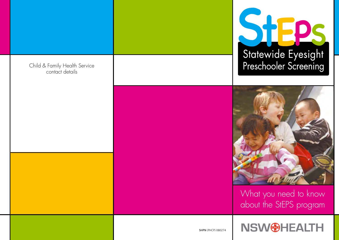